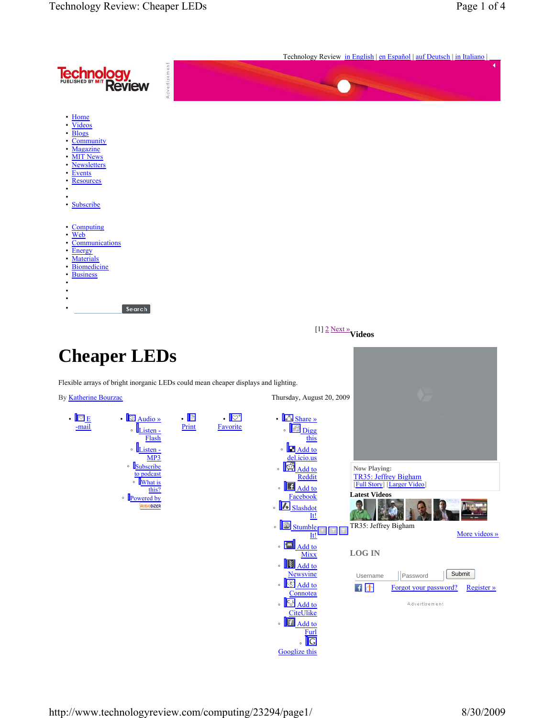|                                                                                                                                                                                                                                                                                                                                                                                                                                                                                                                                                                                                                                                                                   |                                                         |                                                                                                                                                                                                                                                                                                                                                                                                                                                                                                                         | Technology Review in English   en Español   auf Deutsch   in Italiano                                                                                                                                                                                         |
|-----------------------------------------------------------------------------------------------------------------------------------------------------------------------------------------------------------------------------------------------------------------------------------------------------------------------------------------------------------------------------------------------------------------------------------------------------------------------------------------------------------------------------------------------------------------------------------------------------------------------------------------------------------------------------------|---------------------------------------------------------|-------------------------------------------------------------------------------------------------------------------------------------------------------------------------------------------------------------------------------------------------------------------------------------------------------------------------------------------------------------------------------------------------------------------------------------------------------------------------------------------------------------------------|---------------------------------------------------------------------------------------------------------------------------------------------------------------------------------------------------------------------------------------------------------------|
| Advertisement<br><b>Technology</b><br>Review Review                                                                                                                                                                                                                                                                                                                                                                                                                                                                                                                                                                                                                               |                                                         |                                                                                                                                                                                                                                                                                                                                                                                                                                                                                                                         | ٠                                                                                                                                                                                                                                                             |
| • Home<br><b>Videos</b><br><b>Blogs</b><br>Community<br>Magazine<br><b>MIT News</b><br><b>Newsletters</b><br><b>Events</b><br>Resources<br>· Subscribe<br>Computing<br>Web<br>Communications<br>Energy<br>Materials<br>Biomedicine<br><b>Business</b><br>Search                                                                                                                                                                                                                                                                                                                                                                                                                   |                                                         |                                                                                                                                                                                                                                                                                                                                                                                                                                                                                                                         |                                                                                                                                                                                                                                                               |
|                                                                                                                                                                                                                                                                                                                                                                                                                                                                                                                                                                                                                                                                                   |                                                         | [1] $2$ Next » Videos                                                                                                                                                                                                                                                                                                                                                                                                                                                                                                   |                                                                                                                                                                                                                                                               |
| <b>Cheaper LEDs</b>                                                                                                                                                                                                                                                                                                                                                                                                                                                                                                                                                                                                                                                               |                                                         |                                                                                                                                                                                                                                                                                                                                                                                                                                                                                                                         |                                                                                                                                                                                                                                                               |
| Flexible arrays of bright inorganic LEDs could mean cheaper displays and lighting.                                                                                                                                                                                                                                                                                                                                                                                                                                                                                                                                                                                                |                                                         |                                                                                                                                                                                                                                                                                                                                                                                                                                                                                                                         |                                                                                                                                                                                                                                                               |
| By <b>Katherine Bourzac</b>                                                                                                                                                                                                                                                                                                                                                                                                                                                                                                                                                                                                                                                       |                                                         | Thursday, August 20, 2009                                                                                                                                                                                                                                                                                                                                                                                                                                                                                               |                                                                                                                                                                                                                                                               |
| $E_{E}$<br>$\cdot$ $\sqrt{\frac{36}{\text{Audio }y}}$<br>$\bullet$<br>-mail<br>$\circ$ <u>Listen -</u><br>Flash<br>$\circ \frac{\frac{1}{1 \cdot 1} \cdot \frac{1}{1 \cdot 1}}{\frac{1}{1 \cdot 1} \cdot \frac{1}{1} \cdot \frac{1}{1} \cdot \frac{1}{1} \cdot \frac{1}{1} \cdot \frac{1}{1} \cdot \frac{1}{1} \cdot \frac{1}{1} \cdot \frac{1}{1} \cdot \frac{1}{1} \cdot \frac{1}{1} \cdot \frac{1}{1} \cdot \frac{1}{1} \cdot \frac{1}{1} \cdot \frac{1}{1} \cdot \frac{1}{1} \cdot \frac{1}{1} \cdot \frac{1}{1} \cdot \frac{1}{1} \cdot \frac{1}{1} \cdot \frac{1}{1} \$<br>MP3<br><b>Subscribe</b><br>to podcast<br>∘ What is<br>this?<br>• Powered by<br><b>AUDIODIZER</b> | $\blacksquare$<br>. $\mathbb{C}^*$<br>Print<br>Favorite | $\cdot$ Share »<br>. <b>Digg</b><br>this<br><b>Add to</b><br>del.icio.us<br>$\cdot$ $\frac{1}{2}$ Add to<br>Reddit<br>$\cdot$ $\boxed{\blacksquare}$ Add to<br>Facebook<br>. Blashdot<br>It!<br>EJ <mark>.</mark><br>$\circ$<br><b>Stumble</b><br>It!<br>$\circ$ $\sqrt{m}$<br>Add to<br><b>Mixx</b><br>。 <mark>[影] Add to</mark><br><b>Newsvine</b><br>$\cdot$ $\frac{C}{4}$ Add to<br>Connotea<br>∘ <mark>W Add to</mark><br>CiteUlike<br>$\cdot$ $\boxed{f}$ Add to<br>Furl<br>$\frac{1}{2}$<br><b>Googlize</b> this | <b>Now Playing:</b><br>TR35: Jeffrey Bigham<br>[Full Story] [Larger Video]<br><b>Latest Videos</b><br>TR35: Jeffrey Bigham<br>More videos »<br><b>LOG IN</b><br>Submit<br>Username<br>Password<br>H d<br>Forgot your password?<br>Register »<br>Advertisement |

http://www.technologyreview.com/computing/23294/page1/ 8/30/2009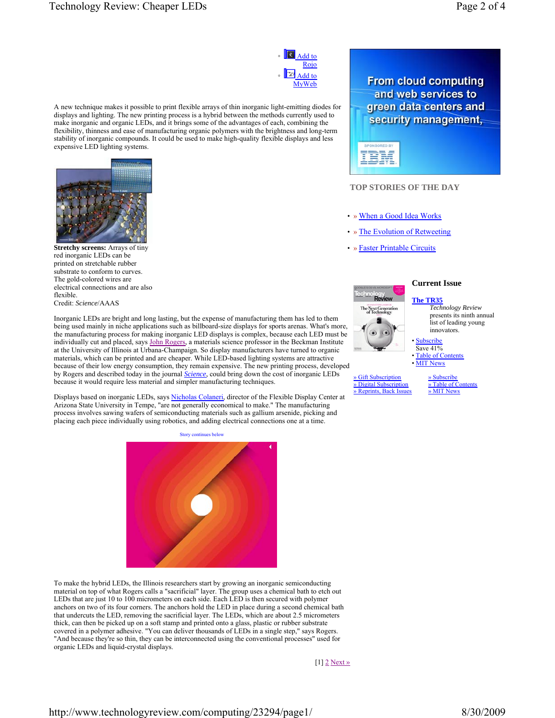

A new technique makes it possible to print flexible arrays of thin inorganic light-emitting diodes for displays and lighting. The new printing process is a hybrid between the methods currently used to make inorganic and organic LEDs, and it brings some of the advantages of each, combining the flexibility, thinness and ease of manufacturing organic polymers with the brightness and long-term stability of inorganic compounds. It could be used to make high-quality flexible displays and less expensive LED lighting systems.



**Stretchy screens:** Arrays of tiny red inorganic LEDs can be printed on stretchable rubber substrate to conform to curves. The gold-colored wires are electrical connections and are also flexible. Credit: *Science*/AAAS

Inorganic LEDs are bright and long lasting, but the expense of manufacturing them has led to them being used mainly in niche applications such as billboard-size displays for sports arenas. What's more, the manufacturing process for making inorganic LED displays is complex, because each LED must be individually cut and placed, says John Rogers, a materials science professor in the Beckman Institute at the University of Illinois at Urbana-Champaign. So display manufacturers have turned to organic materials, which can be printed and are cheaper. While LED-based lighting systems are attractive because of their low energy consumption, they remain expensive. The new printing process, developed by Rogers and described today in the journal *Science*, could bring down the cost of inorganic LEDs because it would require less material and simpler manufacturing techniques.

Displays based on inorganic LEDs, says Nicholas Colaneri, director of the Flexible Display Center at Arizona State University in Tempe, "are not generally economical to make." The manufacturing process involves sawing wafers of semiconducting materials such as gallium arsenide, picking and placing each piece individually using robotics, and adding electrical connections one at a time.



To make the hybrid LEDs, the Illinois researchers start by growing an inorganic semiconducting material on top of what Rogers calls a "sacrificial" layer. The group uses a chemical bath to etch out LEDs that are just 10 to 100 micrometers on each side. Each LED is then secured with polymer anchors on two of its four corners. The anchors hold the LED in place during a second chemical bath that undercuts the LED, removing the sacrificial layer. The LEDs, which are about 2.5 micrometers thick, can then be picked up on a soft stamp and printed onto a glass, plastic or rubber substrate covered in a polymer adhesive. "You can deliver thousands of LEDs in a single step," says Rogers. "And because they're so thin, they can be interconnected using the conventional processes" used for organic LEDs and liquid-crystal displays.

### [1] 2 Next »





## **TOP STORIES OF THE DAY**

- » When a Good Idea Works
- The Evolution of Retweeting
- » Faster Printable Circuits



## **Current Issue**

#### **The TR35**

*Technology Review* presents its ninth annual list of leading young innovators.

**Subscribe** Save 41%

**Table of Contents MIT News** 

» Gift Subscription » Digital Subscription » Reprints, Back Issues

» Subscribe » Table of Contents » MIT News

http://www.technologyreview.com/computing/23294/page1/ 8/30/2009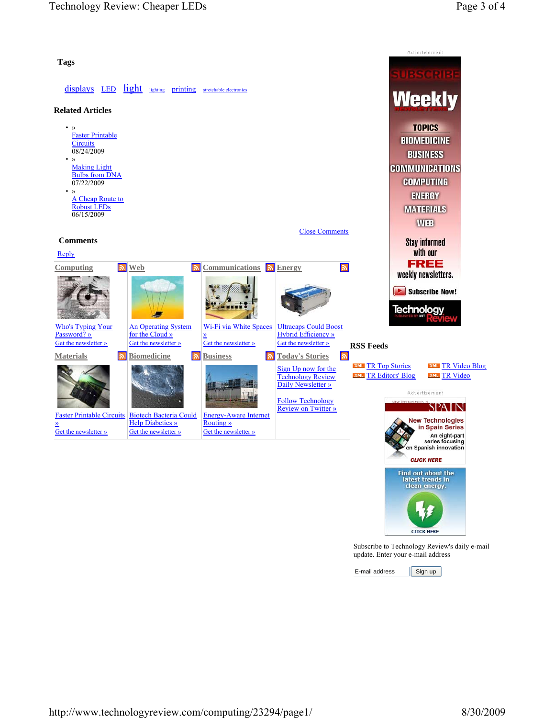

 $E$ -mail address  $\left[$  Sign up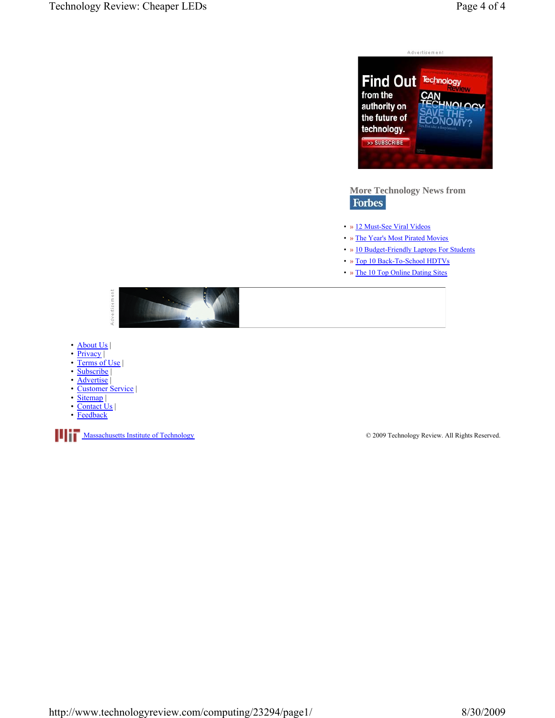

# **More Technology News from Forbes**

- » 12 Must-See Viral Videos
- » The Year's Most Pirated Movies
- » 10 Budget-Friendly Laptops For Students
- » Top 10 Back-To-School HDTVs
- » The 10 Top Online Dating Sites



- About Us |
- Privacy
- Terms of Use |
- Subscribe |
- Advertise |
- Customer Service |
- Sitemap |
- Contact Us | **Feedback**
- 

**Massachusetts Institute of Technology COMPANIES 2009 Technology Review. All Rights Reserved.**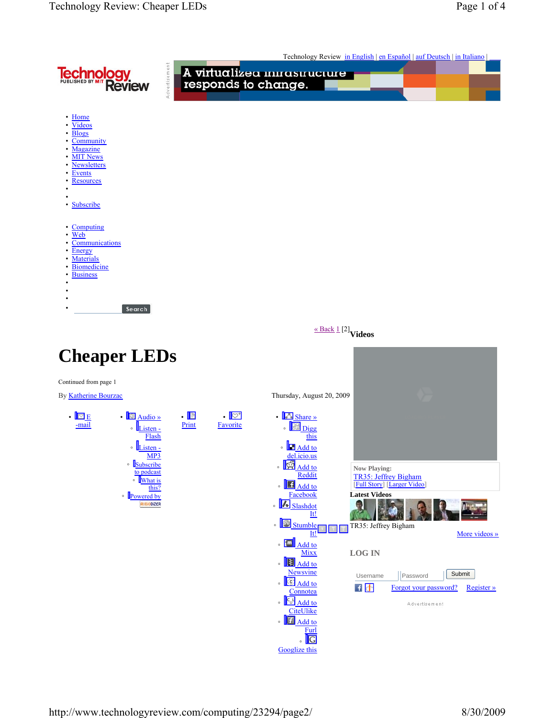|                                                                                                                                                                                                                                 |                                                     |                                                                                                                                                                                                                                                                                                                                                                                                            | Technology Review in English   en Español   auf Deutsch   in Italiano                                                                                                                                                                |  |
|---------------------------------------------------------------------------------------------------------------------------------------------------------------------------------------------------------------------------------|-----------------------------------------------------|------------------------------------------------------------------------------------------------------------------------------------------------------------------------------------------------------------------------------------------------------------------------------------------------------------------------------------------------------------------------------------------------------------|--------------------------------------------------------------------------------------------------------------------------------------------------------------------------------------------------------------------------------------|--|
| <b>Technology</b><br><b>Review</b>                                                                                                                                                                                              | Advertisement                                       | A virtualizea mirasiruciure<br>responds to change.                                                                                                                                                                                                                                                                                                                                                         |                                                                                                                                                                                                                                      |  |
| • Home<br><b>Videos</b><br><b>Blogs</b><br>Community<br>Magazine<br>٠<br><b>MIT News</b><br><b>Newsletters</b><br>Events<br><b>Resources</b><br>Subscribe<br>$\bullet$                                                          |                                                     |                                                                                                                                                                                                                                                                                                                                                                                                            |                                                                                                                                                                                                                                      |  |
| Computing<br>Web<br>Communications<br>Energy<br><b>Materials</b><br><b>Biomedicine</b><br><b>Business</b><br>Search                                                                                                             |                                                     |                                                                                                                                                                                                                                                                                                                                                                                                            |                                                                                                                                                                                                                                      |  |
|                                                                                                                                                                                                                                 |                                                     | $\underline{\scriptscriptstyle\rm \kappa\, Back\,1}\,\stackrel{[2]}{]}{}$ Videos                                                                                                                                                                                                                                                                                                                           |                                                                                                                                                                                                                                      |  |
| <b>Cheaper LEDs</b>                                                                                                                                                                                                             |                                                     |                                                                                                                                                                                                                                                                                                                                                                                                            |                                                                                                                                                                                                                                      |  |
| Continued from page 1<br>By Katherine Bourzac                                                                                                                                                                                   |                                                     | Thursday, August 20, 2009                                                                                                                                                                                                                                                                                                                                                                                  |                                                                                                                                                                                                                                      |  |
| $\cdot$ $\boxed{\nabla}$ E<br>$\cdot$ $\blacksquare$ Audio »<br>-mail<br>$\circ$ $L_{\text{isten}}$<br>Flash<br>$\circ$ <i>Listen</i> -<br>MP3<br>· Subscribe<br>to podcast<br>∘ What is<br>this?<br>• Powered by<br>RUDIODIZER | $\cdot$ ib<br>. $\mathbb{C}^*$<br>Print<br>Favorite | $\cdot$ $\blacksquare$ Share »<br>Digg<br>this<br>∘ <u>In Add to</u><br><u>del.icio.us</u><br>$\frac{1}{2}$ Add to<br>$\circ$<br>Reddit<br>$\frac{1}{2}$ $\frac{1}{4}$ $\frac{1}{4}$ $\frac{1}{4}$ $\frac{1}{4}$<br>Facebook<br>.   Slashdot<br>It!<br>↓ Stumble<br>It!<br>$\cdot$ $\boxed{\blacksquare}$ Add to<br><b>Mixx</b><br>. <b>E</b> Add to<br><b>Newsvine</b><br>C Add to<br>$\circ$<br>Comnotea | Now Playing:<br>TR35: Jeffrey Bigham<br>[Full Story] [Larger Video]<br><b>Latest Videos</b><br>TR35: Jeffrey Bigham<br>More videos »<br><b>LOG IN</b><br>Submit<br>Username<br>Password<br>日小<br>Forgot your password?<br>Register » |  |

**Connotea** 

◦

◦

 Add to **CiteUlike** 

> Add to **Furl**

Googlize this ◦

Advertisement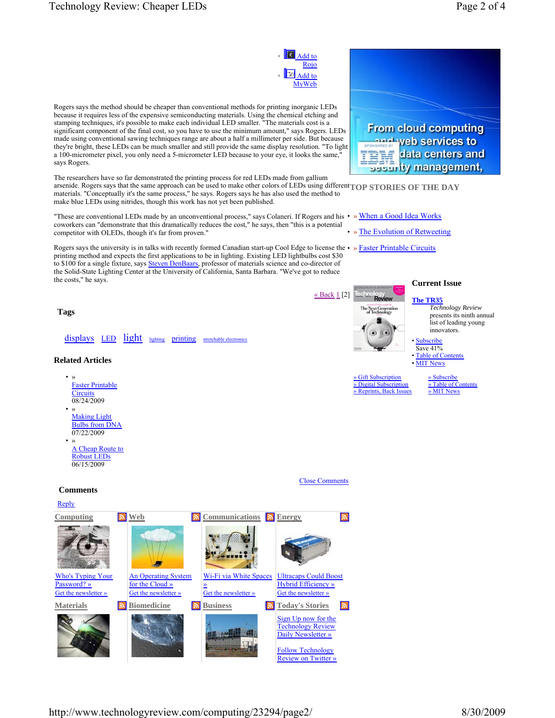

http://www.technologyreview.com/computing/23294/page2/ 8/30/2009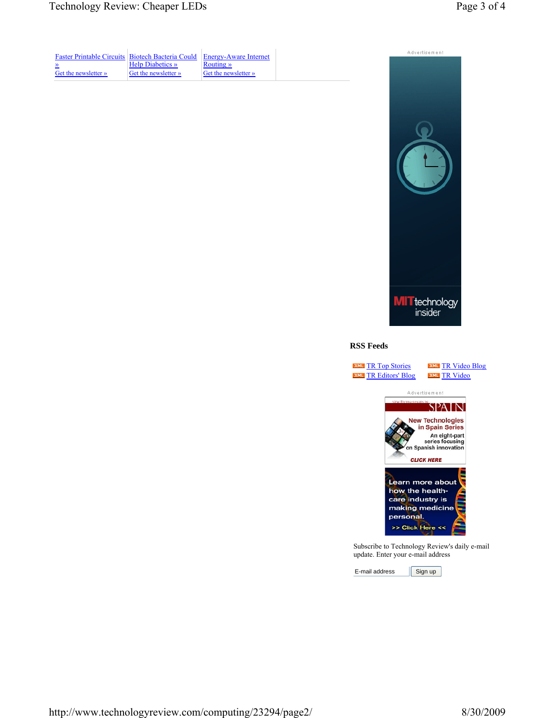| <b>Faster Printable Circuits Biotech Bacteria Could</b> |                         | Energy-Aware Internet |  |
|---------------------------------------------------------|-------------------------|-----------------------|--|
| $\rightarrow$                                           | <b>Help Diabetics</b> » | Routing »             |  |
| Get the newsletter »                                    | Get the newsletter »    | Get the newsletter »  |  |



## **RSS Feeds**

**XML** TR Top Stories **XML** TR Editors' Blog **XML** TR Video Blog **EXML** TR Video



Subscribe to Technology Review's daily e-mail update. Enter your e-mail address

E-mail address Sign up